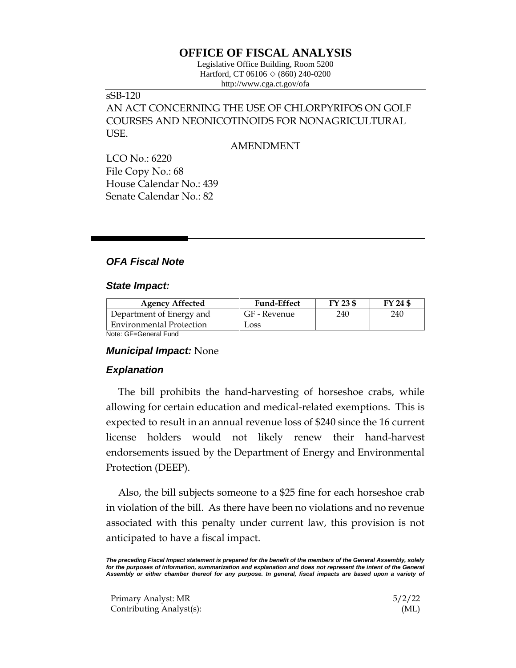## **OFFICE OF FISCAL ANALYSIS**

Legislative Office Building, Room 5200 Hartford, CT 06106  $\Diamond$  (860) 240-0200 http://www.cga.ct.gov/ofa

# sSB-120

AN ACT CONCERNING THE USE OF CHLORPYRIFOS ON GOLF COURSES AND NEONICOTINOIDS FOR NONAGRICULTURAL USE.

AMENDMENT

LCO No.: 6220 File Copy No.: 68 House Calendar No.: 439 Senate Calendar No.: 82

### *OFA Fiscal Note*

#### *State Impact:*

| <b>Agency Affected</b>          | <b>Fund-Effect</b> | FY 23 \$ | FY 24 \$ |
|---------------------------------|--------------------|----------|----------|
| Department of Energy and        | GF - Revenue       | 240      | 240      |
| <b>Environmental Protection</b> | Loss               |          |          |
| Note: GE-General Fund           |                    |          |          |

Note: GF=General Fund

#### *Municipal Impact:* None

#### *Explanation*

The bill prohibits the hand-harvesting of horseshoe crabs, while allowing for certain education and medical-related exemptions. This is expected to result in an annual revenue loss of \$240 since the 16 current license holders would not likely renew their hand-harvest endorsements issued by the Department of Energy and Environmental Protection (DEEP).

Also, the bill subjects someone to a \$25 fine for each horseshoe crab in violation of the bill. As there have been no violations and no revenue associated with this penalty under current law, this provision is not anticipated to have a fiscal impact.

*The preceding Fiscal Impact statement is prepared for the benefit of the members of the General Assembly, solely for the purposes of information, summarization and explanation and does not represent the intent of the General Assembly or either chamber thereof for any purpose. In general, fiscal impacts are based upon a variety of* 

Primary Analyst: MR 5/2/22 Contributing Analyst(s): (ML)